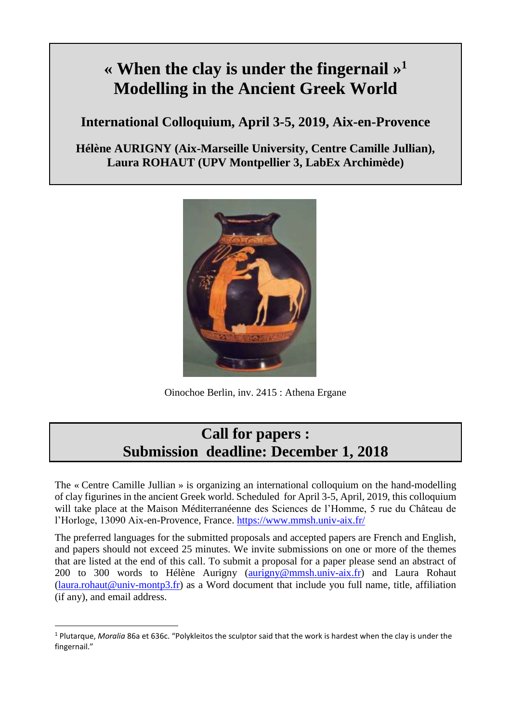# **« When the clay is under the fingernail » 1 Modelling in the Ancient Greek World**

**International Colloquium, April 3-5, 2019, Aix-en-Provence**

**Hélène AURIGNY (Aix-Marseille University, Centre Camille Jullian), Laura ROHAUT (UPV Montpellier 3, LabEx Archimède)** 



Oinochoe Berlin, inv. 2415 : Athena Ergane

# **Call for papers : Submission deadline: December 1, 2018**

The « Centre Camille Jullian » is organizing an international colloquium on the hand-modelling of clay figurines in the ancient Greek world. Scheduled for April 3-5, April, 2019, this colloquium will take place at the Maison Méditerranéenne des Sciences de l'Homme, 5 rue du Château de l'Horloge, 13090 Aix-en-Provence, France.<https://www.mmsh.univ-aix.fr/>

The preferred languages for the submitted proposals and accepted papers are French and English, and papers should not exceed 25 minutes. We invite submissions on one or more of the themes that are listed at the end of this call. To submit a proposal for a paper please send an abstract of 200 to 300 words to Hélène Aurigny [\(aurigny@mmsh.univ-aix.fr\)](mailto:aurigny@mmsh.univ-aix.fr) and Laura Rohaut  $(laura.rohaut@univ-month3.fr)$  as a Word document that include you full name, title, affiliation (if any), and email address.

 $\overline{\phantom{a}}$ 

<sup>1</sup> Plutarque, *Moralia* 86a et 636c. "Polykleitos the sculptor said that the work is hardest when the clay is under the fingernail."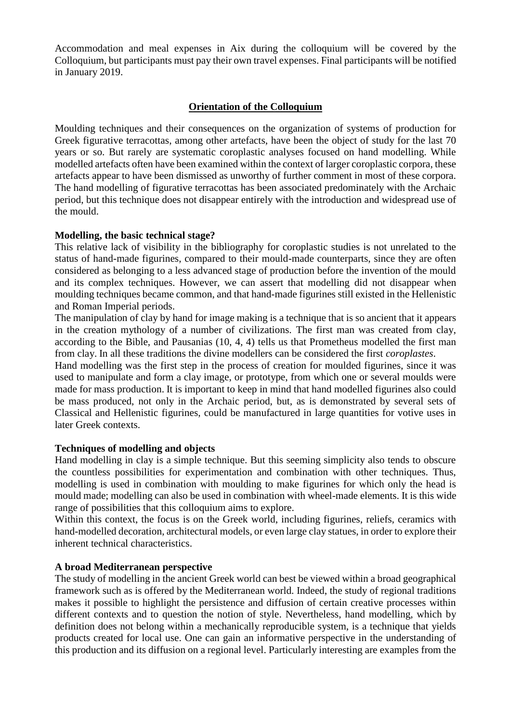Accommodation and meal expenses in Aix during the colloquium will be covered by the Colloquium, but participants must pay their own travel expenses. Final participants will be notified in January 2019.

# **Orientation of the Colloquium**

Moulding techniques and their consequences on the organization of systems of production for Greek figurative terracottas, among other artefacts, have been the object of study for the last 70 years or so. But rarely are systematic coroplastic analyses focused on hand modelling. While modelled artefacts often have been examined within the context of larger coroplastic corpora, these artefacts appear to have been dismissed as unworthy of further comment in most of these corpora. The hand modelling of figurative terracottas has been associated predominately with the Archaic period, but this technique does not disappear entirely with the introduction and widespread use of the mould.

#### **Modelling, the basic technical stage?**

This relative lack of visibility in the bibliography for coroplastic studies is not unrelated to the status of hand-made figurines, compared to their mould-made counterparts, since they are often considered as belonging to a less advanced stage of production before the invention of the mould and its complex techniques. However, we can assert that modelling did not disappear when moulding techniques became common, and that hand-made figurines still existed in the Hellenistic and Roman Imperial periods.

The manipulation of clay by hand for image making is a technique that is so ancient that it appears in the creation mythology of a number of civilizations. The first man was created from clay, according to the Bible, and Pausanias (10, 4, 4) tells us that Prometheus modelled the first man from clay. In all these traditions the divine modellers can be considered the first *coroplastes*.

Hand modelling was the first step in the process of creation for moulded figurines, since it was used to manipulate and form a clay image, or prototype, from which one or several moulds were made for mass production. It is important to keep in mind that hand modelled figurines also could be mass produced, not only in the Archaic period, but, as is demonstrated by several sets of Classical and Hellenistic figurines, could be manufactured in large quantities for votive uses in later Greek contexts.

#### **Techniques of modelling and objects**

Hand modelling in clay is a simple technique. But this seeming simplicity also tends to obscure the countless possibilities for experimentation and combination with other techniques. Thus, modelling is used in combination with moulding to make figurines for which only the head is mould made; modelling can also be used in combination with wheel-made elements. It is this wide range of possibilities that this colloquium aims to explore.

Within this context, the focus is on the Greek world, including figurines, reliefs, ceramics with hand-modelled decoration, architectural models, or even large clay statues, in order to explore their inherent technical characteristics.

#### **A broad Mediterranean perspective**

The study of modelling in the ancient Greek world can best be viewed within a broad geographical framework such as is offered by the Mediterranean world. Indeed, the study of regional traditions makes it possible to highlight the persistence and diffusion of certain creative processes within different contexts and to question the notion of style. Nevertheless, hand modelling, which by definition does not belong within a mechanically reproducible system, is a technique that yields products created for local use. One can gain an informative perspective in the understanding of this production and its diffusion on a regional level. Particularly interesting are examples from the